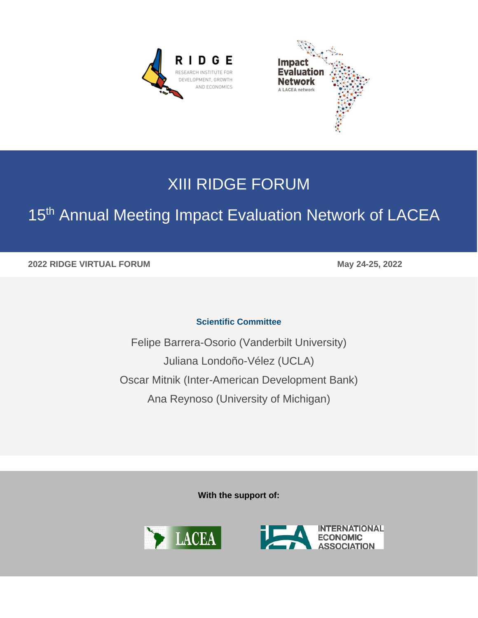**RIDGE** RESEARCH INSTITUTE FOR DEVELOPMENT, GROWTH AND ECONOMICS



## XIII RIDGE FORUM

# 15<sup>th</sup> Annual Meeting Impact Evaluation Network of LACEA

**2022 RIDGE VIRTUAL FORUM May 24-25, 2022**

#### **Scientific Committee**

Felipe Barrera-Osorio (Vanderbilt University) Juliana Londoño-Vélez (UCLA) Oscar Mitnik (Inter-American Development Bank) Ana Reynoso (University of Michigan)

**With the support of:**

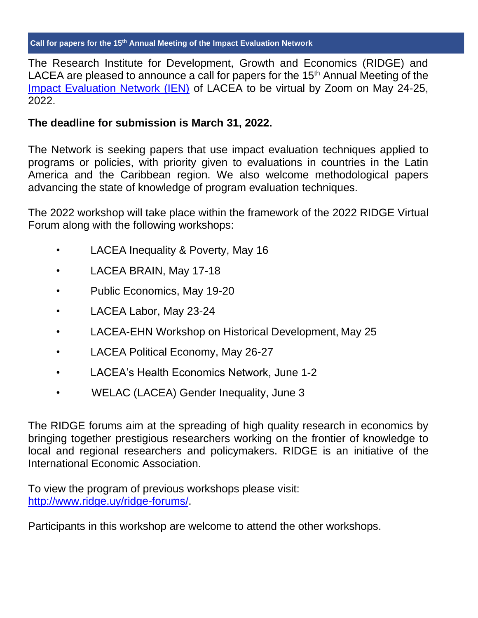The Research Institute for Development, Growth and Economics (RIDGE) and LACEA are pleased to announce a call for papers for the  $15<sup>th</sup>$  Annual Meeting of the [Impact Evaluation Network \(IEN\)](http://www.impact-evaluation-network.org/) of LACEA to be virtual by Zoom on May 24-25, 2022.

## **The deadline for submission is March 31, 2022.**

The Network is seeking papers that use impact evaluation techniques applied to programs or policies, with priority given to evaluations in countries in the Latin America and the Caribbean region. We also welcome methodological papers advancing the state of knowledge of program evaluation techniques.

The 2022 workshop will take place within the framework of the 2022 RIDGE Virtual Forum along with the following workshops:

- LACEA Inequality & Poverty, May 16
- LACEA BRAIN, May 17-18
- Public Economics, May 19-20
- LACEA Labor, May 23-24
- LACEA-EHN Workshop on Historical Development, May 25
- LACEA Political Economy, May 26-27
- LACEA's Health Economics Network, June 1-2
- WELAC (LACEA) Gender Inequality, June 3

The RIDGE forums aim at the spreading of high quality research in economics by bringing together prestigious researchers working on the frontier of knowledge to local and regional researchers and policymakers. RIDGE is an initiative of the International Economic Association.

To view the program of previous workshops please visit: [http://www.ridge.uy/ridge-forums/.](http://www.ridge.uy/ridge-forums/)

Participants in this workshop are welcome to attend the other workshops.